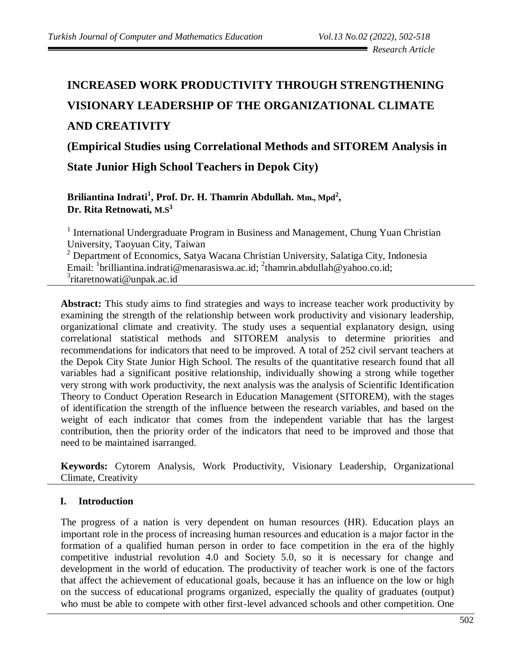# **INCREASED WORK PRODUCTIVITY THROUGH STRENGTHENING VISIONARY LEADERSHIP OF THE ORGANIZATIONAL CLIMATE AND CREATIVITY**

**(Empirical Studies using Correlational Methods and SITOREM Analysis in** 

**State Junior High School Teachers in Depok City)**

**Briliantina Indrati<sup>1</sup> , Prof. Dr. H. Thamrin Abdullah. Mm., Mpd<sup>2</sup> , Dr. Rita Retnowati, M.S<sup>3</sup>**

<sup>1</sup> International Undergraduate Program in Business and Management, Chung Yuan Christian University, Taoyuan City, Taiwan

<sup>2</sup> Department of Economics, Satya Wacana Christian University, Salatiga City, Indonesia Email: <sup>1</sup>brilliantina.indrati@menarasiswa.ac.id; <sup>2</sup>thamrin.abdullah@yahoo.co.id; <sup>3</sup>[ritaretnowati@unpak.ac.id](mailto:3ritaretnowati@unpak.ac.id)

**Abstract:** This study aims to find strategies and ways to increase teacher work productivity by examining the strength of the relationship between work productivity and visionary leadership, organizational climate and creativity. The study uses a sequential explanatory design, using correlational statistical methods and SITOREM analysis to determine priorities and recommendations for indicators that need to be improved. A total of 252 civil servant teachers at the Depok City State Junior High School. The results of the quantitative research found that all variables had a significant positive relationship, individually showing a strong while together very strong with work productivity, the next analysis was the analysis of Scientific Identification Theory to Conduct Operation Research in Education Management (SITOREM), with the stages of identification the strength of the influence between the research variables, and based on the weight of each indicator that comes from the independent variable that has the largest contribution, then the priority order of the indicators that need to be improved and those that need to be maintained isarranged.

**Keywords:** Cytorem Analysis, Work Productivity, Visionary Leadership, Organizational Climate, Creativity

## **I. Introduction**

The progress of a nation is very dependent on human resources (HR). Education plays an important role in the process of increasing human resources and education is a major factor in the formation of a qualified human person in order to face competition in the era of the highly competitive industrial revolution 4.0 and Society 5.0, so it is necessary for change and development in the world of education. The productivity of teacher work is one of the factors that affect the achievement of educational goals, because it has an influence on the low or high on the success of educational programs organized, especially the quality of graduates (output) who must be able to compete with other first-level advanced schools and other competition. One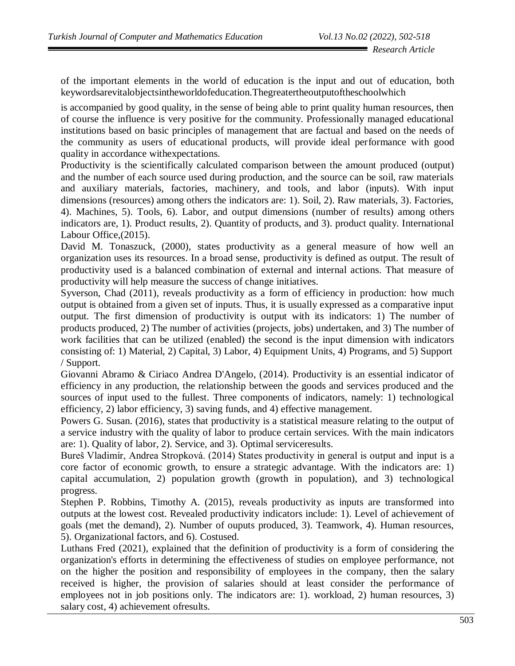of the important elements in the world of education is the input and out of education, both keywordsarevitalobjectsintheworldofeducation.Thegreatertheoutputoftheschoolwhich

is accompanied by good quality, in the sense of being able to print quality human resources, then of course the influence is very positive for the community. Professionally managed educational institutions based on basic principles of management that are factual and based on the needs of the community as users of educational products, will provide ideal performance with good quality in accordance withexpectations.

Productivity is the scientifically calculated comparison between the amount produced (output) and the number of each source used during production, and the source can be soil, raw materials and auxiliary materials, factories, machinery, and tools, and labor (inputs). With input dimensions (resources) among others the indicators are: 1). Soil, 2). Raw materials, 3). Factories, 4). Machines, 5). Tools, 6). Labor, and output dimensions (number of results) among others indicators are, 1). Product results, 2). Quantity of products, and 3). product quality. International Labour Office,(2015).

David M. Tonaszuck, (2000), states productivity as a general measure of how well an organization uses its resources. In a broad sense, productivity is defined as output. The result of productivity used is a balanced combination of external and internal actions. That measure of productivity will help measure the success of change initiatives.

Syverson, Chad (2011), reveals productivity as a form of efficiency in production: how much output is obtained from a given set of inputs. Thus, it is usually expressed as a comparative input output. The first dimension of productivity is output with its indicators: 1) The number of products produced, 2) The number of activities (projects, jobs) undertaken, and 3) The number of work facilities that can be utilized (enabled) the second is the input dimension with indicators consisting of: 1) Material, 2) Capital, 3) Labor, 4) Equipment Units, 4) Programs, and 5) Support / Support.

Giovanni Abramo & Ciriaco Andrea D'Angelo, (2014). Productivity is an essential indicator of efficiency in any production, the relationship between the goods and services produced and the sources of input used to the fullest. Three components of indicators, namely: 1) technological efficiency, 2) labor efficiency, 3) saving funds, and 4) effective management.

Powers G. Susan. (2016), states that productivity is a statistical measure relating to the output of a service industry with the quality of labor to produce certain services. With the main indicators are: 1). Quality of labor, 2). Service, and 3). Optimal serviceresults.

Bureš Vladimír, Andrea Stropková. (2014) States productivity in general is output and input is a core factor of economic growth, to ensure a strategic advantage. With the indicators are: 1) capital accumulation, 2) population growth (growth in population), and 3) technological progress.

Stephen P. Robbins, Timothy A. (2015), reveals productivity as inputs are transformed into outputs at the lowest cost. Revealed productivity indicators include: 1). Level of achievement of goals (met the demand), 2). Number of ouputs produced, 3). Teamwork, 4). Human resources, 5). Organizational factors, and 6). Costused.

Luthans Fred (2021), explained that the definition of productivity is a form of considering the organization's efforts in determining the effectiveness of studies on employee performance, not on the higher the position and responsibility of employees in the company, then the salary received is higher, the provision of salaries should at least consider the performance of employees not in job positions only. The indicators are: 1). workload, 2) human resources, 3) salary cost, 4) achievement ofresults.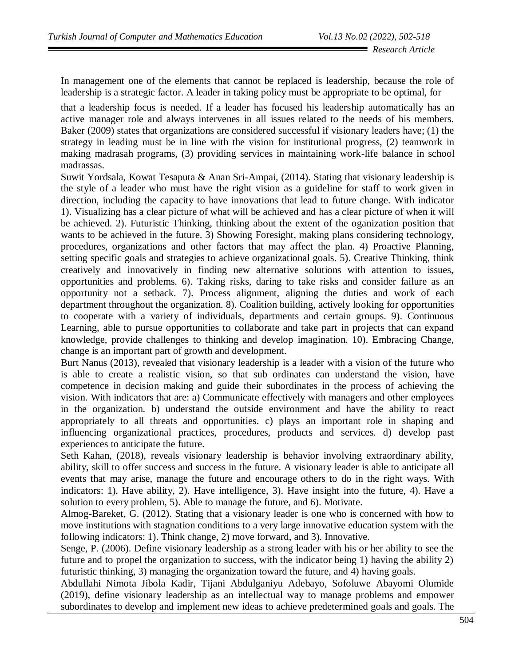In management one of the elements that cannot be replaced is leadership, because the role of leadership is a strategic factor. A leader in taking policy must be appropriate to be optimal, for

that a leadership focus is needed. If a leader has focused his leadership automatically has an active manager role and always intervenes in all issues related to the needs of his members. Baker (2009) states that organizations are considered successful if visionary leaders have; (1) the strategy in leading must be in line with the vision for institutional progress, (2) teamwork in making madrasah programs, (3) providing services in maintaining work-life balance in school madrassas.

Suwit Yordsala, Kowat Tesaputa & Anan Sri-Ampai, (2014). Stating that visionary leadership is the style of a leader who must have the right vision as a guideline for staff to work given in direction, including the capacity to have innovations that lead to future change. With indicator 1). Visualizing has a clear picture of what will be achieved and has a clear picture of when it will be achieved. 2). Futuristic Thinking, thinking about the extent of the oganization position that wants to be achieved in the future. 3) Showing Foresight, making plans considering technology, procedures, organizations and other factors that may affect the plan. 4) Proactive Planning, setting specific goals and strategies to achieve organizational goals. 5). Creative Thinking, think creatively and innovatively in finding new alternative solutions with attention to issues, opportunities and problems. 6). Taking risks, daring to take risks and consider failure as an opportunity not a setback. 7). Process alignment, aligning the duties and work of each department throughout the organization. 8). Coalition building, actively looking for opportunities to cooperate with a variety of individuals, departments and certain groups. 9). Continuous Learning, able to pursue opportunities to collaborate and take part in projects that can expand knowledge, provide challenges to thinking and develop imagination. 10). Embracing Change, change is an important part of growth and development.

Burt Nanus (2013), revealed that visionary leadership is a leader with a vision of the future who is able to create a realistic vision, so that sub ordinates can understand the vision, have competence in decision making and guide their subordinates in the process of achieving the vision. With indicators that are: a) Communicate effectively with managers and other employees in the organization. b) understand the outside environment and have the ability to react appropriately to all threats and opportunities. c) plays an important role in shaping and influencing organizational practices, procedures, products and services. d) develop past experiences to anticipate the future.

Seth Kahan, (2018), reveals visionary leadership is behavior involving extraordinary ability, ability, skill to offer success and success in the future. A visionary leader is able to anticipate all events that may arise, manage the future and encourage others to do in the right ways. With indicators: 1). Have ability, 2). Have intelligence, 3). Have insight into the future, 4). Have a solution to every problem, 5). Able to manage the future, and 6). Motivate.

Almog-Bareket, G. (2012). Stating that a visionary leader is one who is concerned with how to move institutions with stagnation conditions to a very large innovative education system with the following indicators: 1). Think change, 2) move forward, and 3). Innovative.

Senge, P. (2006). Define visionary leadership as a strong leader with his or her ability to see the future and to propel the organization to success, with the indicator being 1) having the ability 2) futuristic thinking, 3) managing the organization toward the future, and 4) having goals.

Abdullahi Nimota Jibola Kadir, Tijani Abdulganiyu Adebayo, Sofoluwe Abayomi Olumide (2019), define visionary leadership as an intellectual way to manage problems and empower subordinates to develop and implement new ideas to achieve predetermined goals and goals. The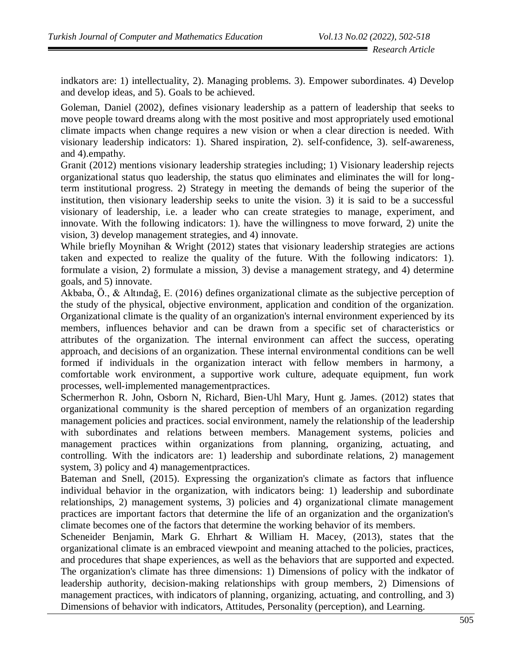indkators are: 1) intellectuality, 2). Managing problems. 3). Empower subordinates. 4) Develop and develop ideas, and 5). Goals to be achieved.

Goleman, Daniel (2002), defines visionary leadership as a pattern of leadership that seeks to move people toward dreams along with the most positive and most appropriately used emotional climate impacts when change requires a new vision or when a clear direction is needed. With visionary leadership indicators: 1). Shared inspiration, 2). self-confidence, 3). self-awareness, and 4).empathy.

Granit (2012) mentions visionary leadership strategies including; 1) Visionary leadership rejects organizational status quo leadership, the status quo eliminates and eliminates the will for longterm institutional progress. 2) Strategy in meeting the demands of being the superior of the institution, then visionary leadership seeks to unite the vision. 3) it is said to be a successful visionary of leadership, i.e. a leader who can create strategies to manage, experiment, and innovate. With the following indicators: 1). have the willingness to move forward, 2) unite the vision, 3) develop management strategies, and 4) innovate.

While briefly Moynihan & Wright (2012) states that visionary leadership strategies are actions taken and expected to realize the quality of the future. With the following indicators: 1). formulate a vision, 2) formulate a mission, 3) devise a management strategy, and 4) determine goals, and 5) innovate.

Akbaba, Ö., & Altındağ, E. (2016) defines organizational climate as the subjective perception of the study of the physical, objective environment, application and condition of the organization. Organizational climate is the quality of an organization's internal environment experienced by its members, influences behavior and can be drawn from a specific set of characteristics or attributes of the organization. The internal environment can affect the success, operating approach, and decisions of an organization. These internal environmental conditions can be well formed if individuals in the organization interact with fellow members in harmony, a comfortable work environment, a supportive work culture, adequate equipment, fun work processes, well-implemented managementpractices.

Schermerhon R. John, Osborn N, Richard, Bien-Uhl Mary, Hunt g. James. (2012) states that organizational community is the shared perception of members of an organization regarding management policies and practices. social environment, namely the relationship of the leadership with subordinates and relations between members. Management systems, policies and management practices within organizations from planning, organizing, actuating, and controlling. With the indicators are: 1) leadership and subordinate relations, 2) management system, 3) policy and 4) managementpractices.

Bateman and Snell, (2015). Expressing the organization's climate as factors that influence individual behavior in the organization, with indicators being: 1) leadership and subordinate relationships, 2) management systems, 3) policies and 4) organizational climate management practices are important factors that determine the life of an organization and the organization's climate becomes one of the factors that determine the working behavior of its members.

Scheneider Benjamin, Mark G. Ehrhart & William H. Macey, (2013), states that the organizational climate is an embraced viewpoint and meaning attached to the policies, practices, and procedures that shape experiences, as well as the behaviors that are supported and expected. The organization's climate has three dimensions: 1) Dimensions of policy with the indkator of leadership authority, decision-making relationships with group members, 2) Dimensions of management practices, with indicators of planning, organizing, actuating, and controlling, and 3) Dimensions of behavior with indicators, Attitudes, Personality (perception), and Learning.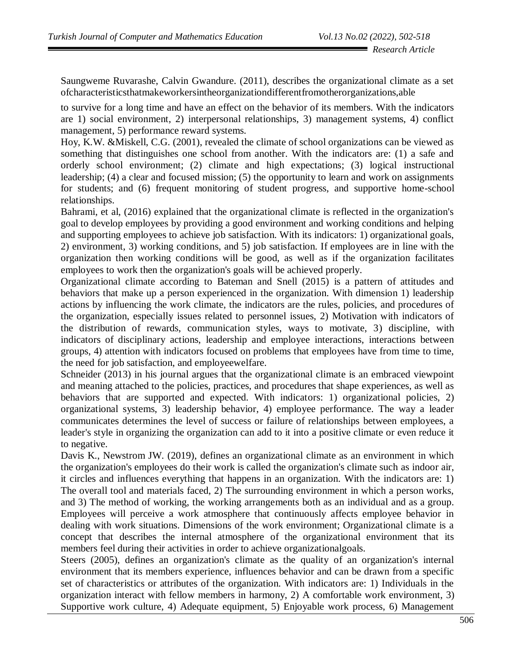Saungweme Ruvarashe, Calvin Gwandure. (2011), describes the organizational climate as a set ofcharacteristicsthatmakeworkersintheorganizationdifferentfromotherorganizations,able

to survive for a long time and have an effect on the behavior of its members. With the indicators are 1) social environment, 2) interpersonal relationships, 3) management systems, 4) conflict management, 5) performance reward systems.

Hoy, K.W. &Miskell, C.G. (2001), revealed the climate of school organizations can be viewed as something that distinguishes one school from another. With the indicators are: (1) a safe and orderly school environment; (2) climate and high expectations; (3) logical instructional leadership; (4) a clear and focused mission; (5) the opportunity to learn and work on assignments for students; and (6) frequent monitoring of student progress, and supportive home-school relationships.

Bahrami, et al, (2016) explained that the organizational climate is reflected in the organization's goal to develop employees by providing a good environment and working conditions and helping and supporting employees to achieve job satisfaction. With its indicators: 1) organizational goals, 2) environment, 3) working conditions, and 5) job satisfaction. If employees are in line with the organization then working conditions will be good, as well as if the organization facilitates employees to work then the organization's goals will be achieved properly.

Organizational climate according to Bateman and Snell (2015) is a pattern of attitudes and behaviors that make up a person experienced in the organization. With dimension 1) leadership actions by influencing the work climate, the indicators are the rules, policies, and procedures of the organization, especially issues related to personnel issues, 2) Motivation with indicators of the distribution of rewards, communication styles, ways to motivate, 3) discipline, with indicators of disciplinary actions, leadership and employee interactions, interactions between groups, 4) attention with indicators focused on problems that employees have from time to time, the need for job satisfaction, and employeewelfare.

Schneider (2013) in his journal argues that the organizational climate is an embraced viewpoint and meaning attached to the policies, practices, and procedures that shape experiences, as well as behaviors that are supported and expected. With indicators: 1) organizational policies, 2) organizational systems, 3) leadership behavior, 4) employee performance. The way a leader communicates determines the level of success or failure of relationships between employees, a leader's style in organizing the organization can add to it into a positive climate or even reduce it to negative.

Davis K., Newstrom JW. (2019), defines an organizational climate as an environment in which the organization's employees do their work is called the organization's climate such as indoor air, it circles and influences everything that happens in an organization. With the indicators are: 1) The overall tool and materials faced, 2) The surrounding environment in which a person works, and 3) The method of working, the working arrangements both as an individual and as a group. Employees will perceive a work atmosphere that continuously affects employee behavior in dealing with work situations. Dimensions of the work environment; Organizational climate is a concept that describes the internal atmosphere of the organizational environment that its members feel during their activities in order to achieve organizationalgoals.

Steers (2005), defines an organization's climate as the quality of an organization's internal environment that its members experience, influences behavior and can be drawn from a specific set of characteristics or attributes of the organization. With indicators are: 1) Individuals in the organization interact with fellow members in harmony, 2) A comfortable work environment, 3) Supportive work culture, 4) Adequate equipment, 5) Enjoyable work process, 6) Management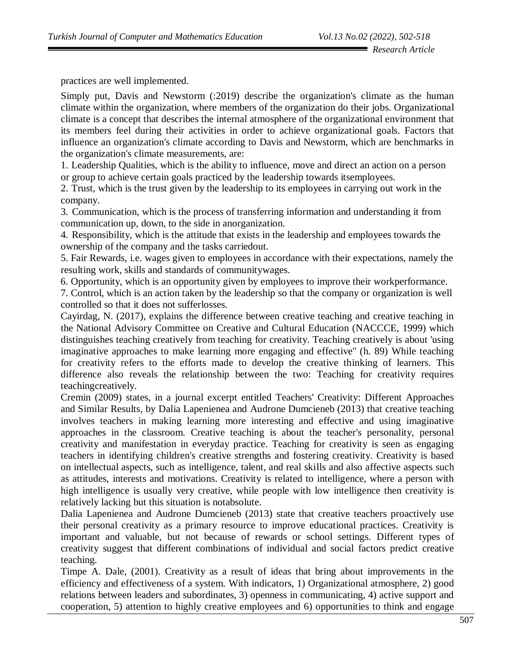practices are well implemented.

Simply put, Davis and Newstorm (:2019) describe the organization's climate as the human climate within the organization, where members of the organization do their jobs. Organizational climate is a concept that describes the internal atmosphere of the organizational environment that its members feel during their activities in order to achieve organizational goals. Factors that influence an organization's climate according to Davis and Newstorm, which are benchmarks in the organization's climate measurements, are:

1. Leadership Qualities, which is the ability to influence, move and direct an action on a person or group to achieve certain goals practiced by the leadership towards itsemployees.

2. Trust, which is the trust given by the leadership to its employees in carrying out work in the company.

3. Communication, which is the process of transferring information and understanding it from communication up, down, to the side in anorganization.

4. Responsibility, which is the attitude that exists in the leadership and employees towards the ownership of the company and the tasks carriedout.

5. Fair Rewards, i.e. wages given to employees in accordance with their expectations, namely the resulting work, skills and standards of communitywages.

6. Opportunity, which is an opportunity given by employees to improve their workperformance.

7. Control, which is an action taken by the leadership so that the company or organization is well controlled so that it does not sufferlosses.

Cayirdag, N. (2017), explains the difference between creative teaching and creative teaching in the National Advisory Committee on Creative and Cultural Education (NACCCE, 1999) which distinguishes teaching creatively from teaching for creativity. Teaching creatively is about 'using imaginative approaches to make learning more engaging and effective'' (h. 89) While teaching for creativity refers to the efforts made to develop the creative thinking of learners. This difference also reveals the relationship between the two: Teaching for creativity requires teachingcreatively.

Cremin (2009) states, in a journal excerpt entitled Teachers' Creativity: Different Approaches and Similar Results, by Dalia Lapenienea and Audrone Dumcieneb (2013) that creative teaching involves teachers in making learning more interesting and effective and using imaginative approaches in the classroom. Creative teaching is about the teacher's personality, personal creativity and manifestation in everyday practice. Teaching for creativity is seen as engaging teachers in identifying children's creative strengths and fostering creativity. Creativity is based on intellectual aspects, such as intelligence, talent, and real skills and also affective aspects such as attitudes, interests and motivations. Creativity is related to intelligence, where a person with high intelligence is usually very creative, while people with low intelligence then creativity is relatively lacking but this situation is notabsolute.

Dalia Lapenienea and Audrone Dumcieneb (2013) state that creative teachers proactively use their personal creativity as a primary resource to improve educational practices. Creativity is important and valuable, but not because of rewards or school settings. Different types of creativity suggest that different combinations of individual and social factors predict creative teaching.

Timpe A. Dale, (2001). Creativity as a result of ideas that bring about improvements in the efficiency and effectiveness of a system. With indicators, 1) Organizational atmosphere, 2) good relations between leaders and subordinates, 3) openness in communicating, 4) active support and cooperation, 5) attention to highly creative employees and 6) opportunities to think and engage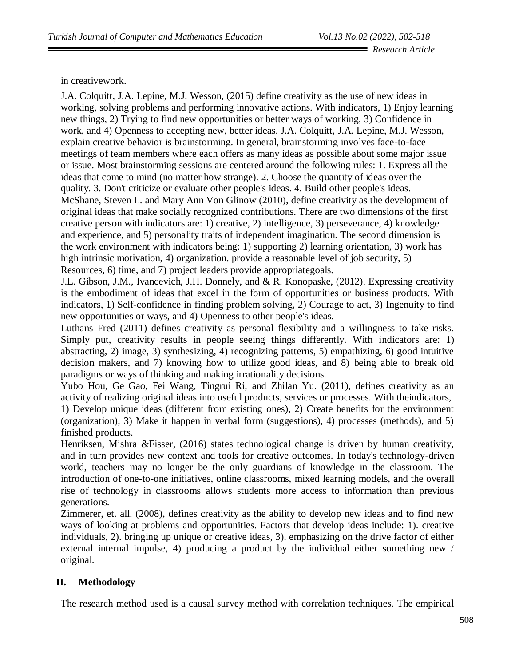in creativework.

J.A. Colquitt, J.A. Lepine, M.J. Wesson, (2015) define creativity as the use of new ideas in working, solving problems and performing innovative actions. With indicators, 1) Enjoy learning new things, 2) Trying to find new opportunities or better ways of working, 3) Confidence in work, and 4) Openness to accepting new, better ideas. J.A. Colquitt, J.A. Lepine, M.J. Wesson, explain creative behavior is brainstorming. In general, brainstorming involves face-to-face meetings of team members where each offers as many ideas as possible about some major issue or issue. Most brainstorming sessions are centered around the following rules: 1. Express all the ideas that come to mind (no matter how strange). 2. Choose the quantity of ideas over the quality. 3. Don't criticize or evaluate other people's ideas. 4. Build other people's ideas. McShane, Steven L. and Mary Ann Von Glinow (2010), define creativity as the development of original ideas that make socially recognized contributions. There are two dimensions of the first creative person with indicators are: 1) creative, 2) intelligence, 3) perseverance, 4) knowledge and experience, and 5) personality traits of independent imagination. The second dimension is the work environment with indicators being: 1) supporting 2) learning orientation, 3) work has high intrinsic motivation, 4) organization. provide a reasonable level of job security, 5) Resources, 6) time, and 7) project leaders provide appropriategoals.

J.L. Gibson, J.M., Ivancevich, J.H. Donnely, and & R. Konopaske, (2012). Expressing creativity is the embodiment of ideas that excel in the form of opportunities or business products. With indicators, 1) Self-confidence in finding problem solving, 2) Courage to act, 3) Ingenuity to find new opportunities or ways, and 4) Openness to other people's ideas.

Luthans Fred (2011) defines creativity as personal flexibility and a willingness to take risks. Simply put, creativity results in people seeing things differently. With indicators are: 1) abstracting, 2) image, 3) synthesizing, 4) recognizing patterns, 5) empathizing, 6) good intuitive decision makers, and 7) knowing how to utilize good ideas, and 8) being able to break old paradigms or ways of thinking and making irrationality decisions.

Yubo Hou, Ge Gao, Fei Wang, Tingrui Ri, and Zhilan Yu. (2011), defines creativity as an activity of realizing original ideas into useful products, services or processes. With theindicators,

1) Develop unique ideas (different from existing ones), 2) Create benefits for the environment (organization), 3) Make it happen in verbal form (suggestions), 4) processes (methods), and 5) finished products.

Henriksen, Mishra &Fisser, (2016) states technological change is driven by human creativity, and in turn provides new context and tools for creative outcomes. In today's technology-driven world, teachers may no longer be the only guardians of knowledge in the classroom. The introduction of one-to-one initiatives, online classrooms, mixed learning models, and the overall rise of technology in classrooms allows students more access to information than previous generations.

Zimmerer, et. all. (2008), defines creativity as the ability to develop new ideas and to find new ways of looking at problems and opportunities. Factors that develop ideas include: 1). creative individuals, 2). bringing up unique or creative ideas, 3). emphasizing on the drive factor of either external internal impulse, 4) producing a product by the individual either something new / original.

# **II. Methodology**

The research method used is a causal survey method with correlation techniques. The empirical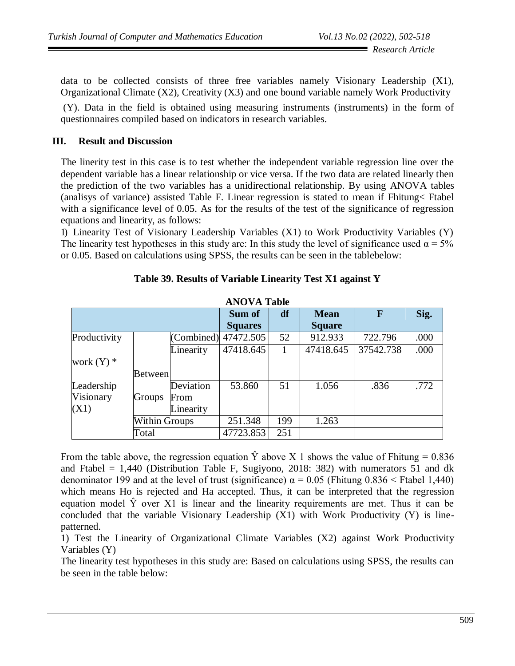data to be collected consists of three free variables namely Visionary Leadership  $(X1)$ , Organizational Climate (X2), Creativity (X3) and one bound variable namely Work Productivity

(Y). Data in the field is obtained using measuring instruments (instruments) in the form of questionnaires compiled based on indicators in research variables.

## **III. Result and Discussion**

The linerity test in this case is to test whether the independent variable regression line over the dependent variable has a linear relationship or vice versa. If the two data are related linearly then the prediction of the two variables has a unidirectional relationship. By using ANOVA tables (analisys of variance) assisted Table F. Linear regression is stated to mean if Fhitung< Ftabel with a significance level of 0.05. As for the results of the test of the significance of regression equations and linearity, as follows:

1) Linearity Test of Visionary Leadership Variables (X1) to Work Productivity Variables (Y) The linearity test hypotheses in this study are: In this study the level of significance used  $\alpha = 5\%$ or 0.05. Based on calculations using SPSS, the results can be seen in the tablebelow:

| AIVIAIAIII   |                      |            |                |             |               |           |      |
|--------------|----------------------|------------|----------------|-------------|---------------|-----------|------|
|              |                      | Sum of     | df             | <b>Mean</b> | F             | Sig.      |      |
|              |                      |            | <b>Squares</b> |             | <b>Square</b> |           |      |
| Productivity |                      | (Combined) | 47472.505      | 52          | 912.933       | 722.796   | .000 |
|              |                      | Linearity  | 47418.645      |             | 47418.645     | 37542.738 | .000 |
| work $(Y)$ * |                      |            |                |             |               |           |      |
|              | Between              |            |                |             |               |           |      |
| Leadership   |                      | Deviation  | 53.860         | 51          | 1.056         | .836      | .772 |
| Visionary    | Groups               | From       |                |             |               |           |      |
| (X1)         |                      | Linearity  |                |             |               |           |      |
|              | <b>Within Groups</b> |            | 251.348        | 199         | 1.263         |           |      |
|              | Total                |            | 47723.853      | 251         |               |           |      |

| Table 39. Results of Variable Linearity Test X1 against Y |  |  |  |  |
|-----------------------------------------------------------|--|--|--|--|
|-----------------------------------------------------------|--|--|--|--|

**ANOVA Table**

From the table above, the regression equation  $\hat{Y}$  above X 1 shows the value of Fhitung = 0.836 and Ftabel  $= 1,440$  (Distribution Table F, Sugiyono, 2018: 382) with numerators 51 and dk denominator 199 and at the level of trust (significance)  $\alpha = 0.05$  (Fhitung 0.836 < Ftabel 1,440) which means Ho is rejected and Ha accepted. Thus, it can be interpreted that the regression equation model  $\hat{Y}$  over X1 is linear and the linearity requirements are met. Thus it can be concluded that the variable Visionary Leadership  $(X1)$  with Work Productivity  $(Y)$  is linepatterned.

1) Test the Linearity of Organizational Climate Variables (X2) against Work Productivity Variables (Y)

The linearity test hypotheses in this study are: Based on calculations using SPSS, the results can be seen in the table below: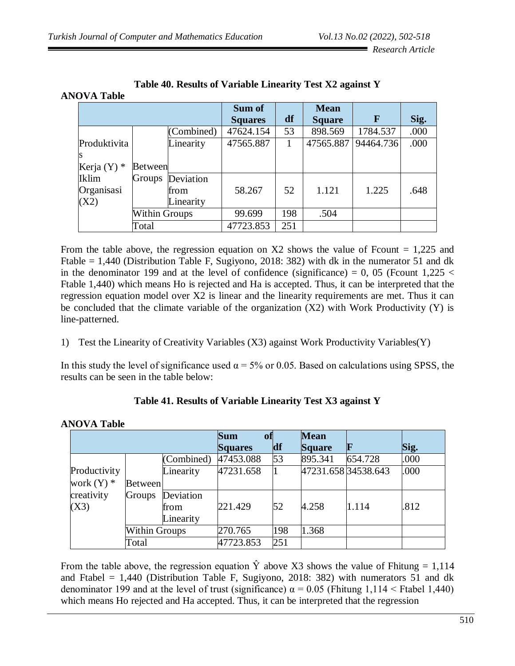|  |  |  |  |  | Table 40. Results of Variable Linearity Test X2 against Y |
|--|--|--|--|--|-----------------------------------------------------------|
|--|--|--|--|--|-----------------------------------------------------------|

|               |                      |            | Sum of         |     | <b>Mean</b>   |             |      |
|---------------|----------------------|------------|----------------|-----|---------------|-------------|------|
|               |                      |            | <b>Squares</b> | df  | <b>Square</b> | $\mathbf F$ | Sig. |
|               |                      | (Combined) | 47624.154      | 53  | 898.569       | 1784.537    | .000 |
| Produktivita  |                      | Linearity  | 47565.887      |     | 47565.887     | 94464.736   | .000 |
|               |                      |            |                |     |               |             |      |
| Kerja $(Y)$ * | Between              |            |                |     |               |             |      |
| <b>Iklim</b>  | Groups               | Deviation  |                |     |               |             |      |
| Organisasi    |                      | from       | 58.267         | 52  | 1.121         | 1.225       | .648 |
| (X2)          |                      | Linearity  |                |     |               |             |      |
|               | <b>Within Groups</b> |            | 99.699         | 198 | .504          |             |      |
|               | Total                |            | 47723.853      | 251 |               |             |      |

From the table above, the regression equation on  $X2$  shows the value of Fcount = 1,225 and Ftable = 1,440 (Distribution Table F, Sugiyono, 2018: 382) with dk in the numerator 51 and dk in the denominator 199 and at the level of confidence (significance) = 0, 05 (Fcount  $1,225 <$ Ftable 1,440) which means Ho is rejected and Ha is accepted. Thus, it can be interpreted that the regression equation model over X2 is linear and the linearity requirements are met. Thus it can be concluded that the climate variable of the organization  $(X2)$  with Work Productivity  $(Y)$  is line-patterned.

1) Test the Linearity of Creativity Variables (X3) against Work Productivity Variables(Y)

In this study the level of significance used  $\alpha = 5\%$  or 0.05. Based on calculations using SPSS, the results can be seen in the table below:

| <b>NOVA Table</b>              |                      |                                |                                           |     |                              |         |      |
|--------------------------------|----------------------|--------------------------------|-------------------------------------------|-----|------------------------------|---------|------|
|                                |                      |                                | <b>Sum</b><br><b>of</b><br><b>Squares</b> | df  | <b>Mean</b><br><b>Square</b> | R       | Sig. |
|                                |                      | (Combined)                     | 47453.088                                 | 53  | 895.341                      | 654.728 | .000 |
| Productivity<br>work $(Y)$ $*$ | <b>Between</b>       | Linearity                      | 47231.658                                 |     | 47231.658 34538.643          |         | .000 |
| creativity<br>(X3)             | <b>Groups</b>        | Deviation<br>from<br>Linearity | 221.429                                   | 52  | 4.258                        | 1.114   | .812 |
|                                | <b>Within Groups</b> |                                | 270.765                                   | 198 | 1.368                        |         |      |
|                                | Total                |                                | 47723.853                                 | 251 |                              |         |      |

# **Table 41. Results of Variable Linearity Test X3 against Y**

From the table above, the regression equation  $\hat{Y}$  above X3 shows the value of Fhitung = 1,114 and Ftabel =  $1,440$  (Distribution Table F, Sugiyono, 2018: 382) with numerators 51 and dk denominator 199 and at the level of trust (significance)  $\alpha = 0.05$  (Fhitung 1,114 < Ftabel 1,440) which means Ho rejected and Ha accepted. Thus, it can be interpreted that the regression

# AN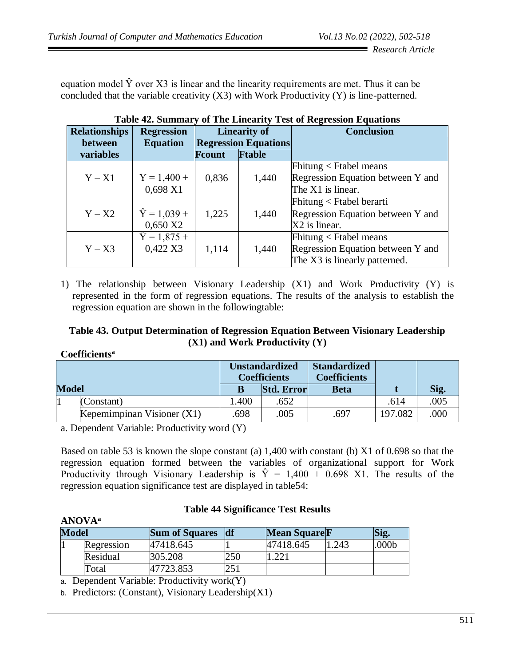equation model  $\hat{Y}$  over X3 is linear and the linearity requirements are met. Thus it can be concluded that the variable creativity (X3) with Work Productivity (Y) is line-patterned.

| <b>Relationships</b> | <b>Regression</b>   |                | <b>Linearity of</b>                          | <b>Conclusion</b>                 |
|----------------------|---------------------|----------------|----------------------------------------------|-----------------------------------|
| between<br>variables | <b>Equation</b>     | <b>F</b> count | <b>Regression Equations</b><br><b>Ftable</b> |                                   |
|                      |                     |                |                                              | Fhitung $\langle$ Ftabel means    |
| $Y - X1$             | $\hat{Y} = 1,400 +$ | 0,836          | 1,440                                        | Regression Equation between Y and |
|                      | 0,698 X1            |                |                                              | The X1 is linear.                 |
|                      |                     |                |                                              | $Fhitung < Ftable$ berarti        |
| $Y - X2$             | $\hat{Y} = 1,039 +$ | 1,225          | 1,440                                        | Regression Equation between Y and |
|                      | $0,650$ X2          |                |                                              | X2 is linear.                     |
|                      | $\hat{Y} = 1,875 +$ |                |                                              | Fhitung $\langle$ Ftabel means    |
| $Y - X3$             | 0,422 X3            | 1,114          | 1,440                                        | Regression Equation between Y and |
|                      |                     |                |                                              | The X3 is linearly patterned.     |

**Table 42. Summary of The Linearity Test of Regression Equations**

1) The relationship between Visionary Leadership (X1) and Work Productivity (Y) is represented in the form of regression equations. The results of the analysis to establish the regression equation are shown in the followingtable:

## **Table 43. Output Determination of Regression Equation Between Visionary Leadership (X1) and Work Productivity (Y)**

|              | Cochicitus                   |                                              |                   |                                            |         |      |  |
|--------------|------------------------------|----------------------------------------------|-------------------|--------------------------------------------|---------|------|--|
|              |                              | <b>Unstandardized</b><br><b>Coefficients</b> |                   | <b>Standardized</b><br><b>Coefficients</b> |         |      |  |
| <b>Model</b> |                              |                                              | <b>Std. Error</b> | <b>Beta</b>                                |         | Sig. |  |
|              | (Constant)                   | .400                                         | .652              |                                            | .614    | .005 |  |
|              | Kepemimpinan Visioner $(X1)$ | .698                                         | .005              | .697                                       | 197.082 | .000 |  |

**Coefficients<sup>a</sup>**

a. Dependent Variable: Productivity word (Y)

Based on table 53 is known the slope constant (a) 1,400 with constant (b) X1 of 0.698 so that the regression equation formed between the variables of organizational support for Work Productivity through Visionary Leadership is  $\hat{Y} = 1,400 + 0.698$  X1. The results of the regression equation significance test are displayed in table54:

| <b>ANOVA</b> <sup>a</sup> |            |                       |     |                      |      |      |
|---------------------------|------------|-----------------------|-----|----------------------|------|------|
| <b>Model</b>              |            | <b>Sum of Squares</b> | df  | <b>Mean Square F</b> |      | Sig. |
|                           | Regression | 47418.645             |     | 47418.645            | .243 | 000b |
|                           | Residual   | 305.208               | 250 |                      |      |      |
|                           | Total      | 47723.853             | 251 |                      |      |      |

#### **Table 44 Significance Test Results**

a. Dependent Variable: Productivity work(Y)

b. Predictors: (Constant), Visionary Leadership(X1)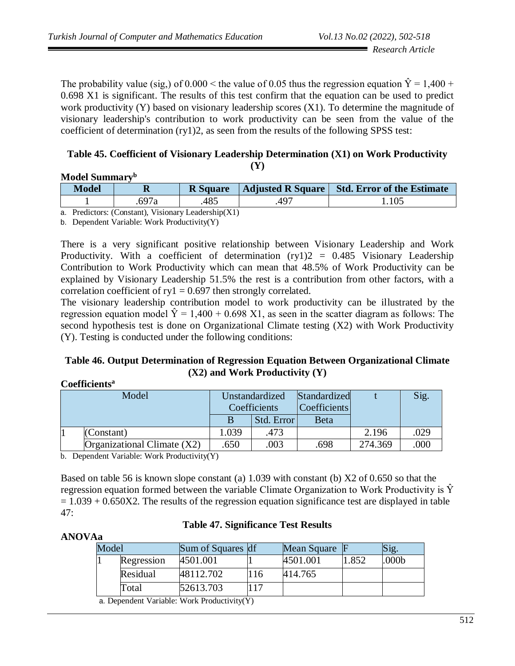The probability value (sig,) of  $0.000 \le$  the value of 0.05 thus the regression equation  $\hat{Y} = 1.400 +$ 0.698 X1 is significant. The results of this test confirm that the equation can be used to predict work productivity (Y) based on visionary leadership scores (X1). To determine the magnitude of visionary leadership's contribution to work productivity can be seen from the value of the coefficient of determination (ry1)2, as seen from the results of the following SPSS test:

#### **Table 45. Coefficient of Visionary Leadership Determination (X1) on Work Productivity (Y)**

## **Model Summary<sup>b</sup>**

| Model | $\mathbf R$                                                                            | <b>R</b> Square |      | Adjusted R Square   Std. Error of the Estimate |
|-------|----------------------------------------------------------------------------------------|-----------------|------|------------------------------------------------|
|       | .697a                                                                                  | 485             | .49″ | 1.105                                          |
|       | $\overline{D}$ 1, $\overline{C}$ $\overline{M}$ 1, $\overline{M}$ 1, 1, $\overline{M}$ |                 |      |                                                |

a. Predictors: (Constant), Visionary Leadership(X1)

b. Dependent Variable: Work Productivity(Y)

There is a very significant positive relationship between Visionary Leadership and Work Productivity. With a coefficient of determination  $(ry1)2 = 0.485$  Visionary Leadership Contribution to Work Productivity which can mean that 48.5% of Work Productivity can be explained by Visionary Leadership 51.5% the rest is a contribution from other factors, with a correlation coefficient of  $ry1 = 0.697$  then strongly correlated.

The visionary leadership contribution model to work productivity can be illustrated by the regression equation model  $\hat{Y} = 1,400 + 0.698 \text{ X1}$ , as seen in the scatter diagram as follows: The second hypothesis test is done on Organizational Climate testing (X2) with Work Productivity (Y). Testing is conducted under the following conditions:

## **Table 46. Output Determination of Regression Equation Between Organizational Climate (X2) and Work Productivity (Y)**

## **Coefficients<sup>a</sup>**

| Model |                                                                                                                | Unstandardized<br>Coefficients |            | Standardized<br> Coefficients |         | Sig. |
|-------|----------------------------------------------------------------------------------------------------------------|--------------------------------|------------|-------------------------------|---------|------|
|       |                                                                                                                | B                              | Std. Error | <b>Beta</b>                   |         |      |
|       | (Constant)                                                                                                     | 1.039                          | .473       |                               | 2.196   | .029 |
|       | Organizational Climate $(X2)$                                                                                  | .650                           | .003       | .698                          | 274.369 | .000 |
|       | 1. $\mathbf{D}$ , , 1, , $\mathbf{V}$ , , 1, , $\mathbf{W}$ , , $\mathbf{D}$ , , $\mathbf{L}$ , , $\mathbf{V}$ |                                |            |                               |         |      |

b. Dependent Variable: Work Productivity(Y)

Based on table 56 is known slope constant (a) 1.039 with constant (b) X2 of 0.650 so that the regression equation formed between the variable Climate Organization to Work Productivity is  $\hat{Y}$  $= 1.039 + 0.650X2$ . The results of the regression equation significance test are displayed in table 47:

## **Table 47. Significance Test Results**

| <b>ANOVAa</b> |       |            |                                                |     |               |       |       |
|---------------|-------|------------|------------------------------------------------|-----|---------------|-------|-------|
|               | Model |            | Sum of Squares df                              |     | Mean Square F |       | Sig.  |
|               |       | Regression | 4501.001                                       |     | 4501.001      | 1.852 | .000b |
|               |       | Residual   | 48112.702                                      | 116 | 414.765       |       |       |
|               |       | Total      | 52613.703                                      |     |               |       |       |
|               |       |            | n. Dan an dant Vanjaklar Waul, Dua dreater (V) |     |               |       |       |

a. Dependent Variable: Work Productivity(Y)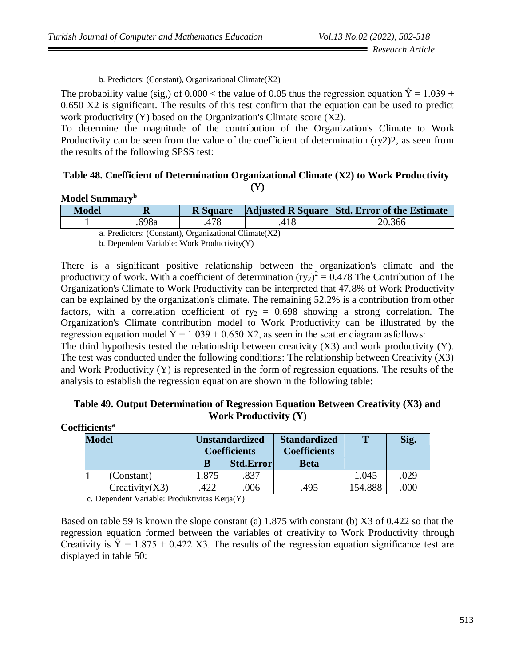b. Predictors: (Constant), Organizational Climate(X2)

The probability value (sig,) of  $0.000 <$  the value of 0.05 thus the regression equation  $\hat{Y} = 1.039 +$ 0.650 X2 is significant. The results of this test confirm that the equation can be used to predict work productivity (Y) based on the Organization's Climate score (X2).

To determine the magnitude of the contribution of the Organization's Climate to Work Productivity can be seen from the value of the coefficient of determination (ry2)2, as seen from the results of the following SPSS test:

#### **Table 48. Coefficient of Determination Organizational Climate (X2) to Work Productivity (Y)**

| Model Summary <sup>b</sup>                                     |       |                 |     |                                              |  |  |  |  |
|----------------------------------------------------------------|-------|-----------------|-----|----------------------------------------------|--|--|--|--|
| <b>Model</b>                                                   |       | <b>R</b> Square |     | Adjusted R Square Std. Error of the Estimate |  |  |  |  |
|                                                                | .698a |                 | 418 | 20.366                                       |  |  |  |  |
| $\sim$ D. F. Comparison (Countries) Oriented the 1 CF and (VO) |       |                 |     |                                              |  |  |  |  |

a. Predictors: (Constant), Organizational Climate(X2)

b. Dependent Variable: Work Productivity(Y)

There is a significant positive relationship between the organization's climate and the productivity of work. With a coefficient of determination  $(ry_2)^2 = 0.478$  The Contribution of The Organization's Climate to Work Productivity can be interpreted that 47.8% of Work Productivity can be explained by the organization's climate. The remaining 52.2% is a contribution from other factors, with a correlation coefficient of  $ry_2 = 0.698$  showing a strong correlation. The Organization's Climate contribution model to Work Productivity can be illustrated by the regression equation model  $\hat{Y} = 1.039 + 0.650$  X2, as seen in the scatter diagram asfollows: The third hypothesis tested the relationship between creativity  $(X3)$  and work productivity  $(Y)$ . The test was conducted under the following conditions: The relationship between Creativity (X3) and Work Productivity (Y) is represented in the form of regression equations. The results of the analysis to establish the regression equation are shown in the following table:

| Table 49. Output Determination of Regression Equation Between Creativity (X3) and |
|-----------------------------------------------------------------------------------|
| <b>Work Productivity <math>(Y)</math></b>                                         |

| Coefficients <sup>a</sup><br><b>Model</b> |                | <b>Unstandardized</b><br><b>Coefficients</b> |           | <b>Standardized</b><br><b>Coefficients</b> | T       | Sig. |
|-------------------------------------------|----------------|----------------------------------------------|-----------|--------------------------------------------|---------|------|
|                                           |                |                                              | Std.Error | <b>Beta</b>                                |         |      |
|                                           | (Constant)     | 1.875                                        | .837      |                                            | 1.045   | .029 |
|                                           | Creativity(X3) | 422                                          | .006      | .495                                       | 154.888 | .000 |

c. Dependent Variable: Produktivitas Kerja(Y)

Based on table 59 is known the slope constant (a) 1.875 with constant (b) X3 of 0.422 so that the regression equation formed between the variables of creativity to Work Productivity through Creativity is  $\hat{Y} = 1.875 + 0.422$  X3. The results of the regression equation significance test are displayed in table 50: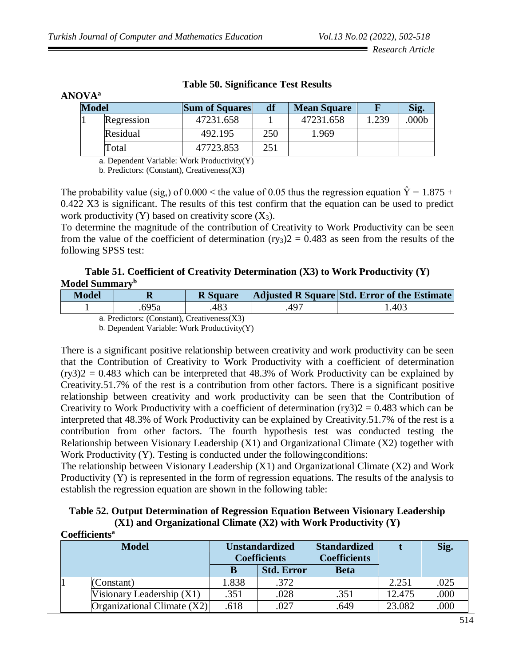| <b>ANOVA</b> <sup>a</sup> |            |                       |     |                    |       |                  |
|---------------------------|------------|-----------------------|-----|--------------------|-------|------------------|
| <b>Model</b>              |            | <b>Sum of Squares</b> | df  | <b>Mean Square</b> |       |                  |
|                           | Regression | 47231.658             |     | 47231.658          | 1.239 | 000 <sub>b</sub> |
|                           | Residual   | 492.195               | 250 | 1.969              |       |                  |
|                           | Total      | 47723.853             | 251 |                    |       |                  |

## **Table 50. Significance Test Results**

a. Dependent Variable: Work Productivity(Y)

b. Predictors: (Constant), Creativeness(X3)

The probability value (sig,) of  $0.000 \le$  the value of 0.05 thus the regression equation  $\hat{Y} = 1.875 +$ 0.422 X3 is significant. The results of this test confirm that the equation can be used to predict work productivity (Y) based on creativity score  $(X_3)$ .

To determine the magnitude of the contribution of Creativity to Work Productivity can be seen from the value of the coefficient of determination  $(ry_3)2 = 0.483$  as seen from the results of the following SPSS test:

## **Table 51. Coefficient of Creativity Determination (X3) to Work Productivity (Y) Model Summary<sup>b</sup>**

| Model | v    | <b>R</b> Square |             | Adjusted R Square Std. Error of the Estimate |
|-------|------|-----------------|-------------|----------------------------------------------|
|       | 695a | 483             | $\Delta$ 97 | .403                                         |

a. Predictors: (Constant), Creativeness(X3)

b. Dependent Variable: Work Productivity(Y)

There is a significant positive relationship between creativity and work productivity can be seen that the Contribution of Creativity to Work Productivity with a coefficient of determination  $(ry3)2 = 0.483$  which can be interpreted that 48.3% of Work Productivity can be explained by Creativity.51.7% of the rest is a contribution from other factors. There is a significant positive relationship between creativity and work productivity can be seen that the Contribution of Creativity to Work Productivity with a coefficient of determination  $(rv3)2 = 0.483$  which can be interpreted that 48.3% of Work Productivity can be explained by Creativity.51.7% of the rest is a contribution from other factors. The fourth hypothesis test was conducted testing the Relationship between Visionary Leadership (X1) and Organizational Climate (X2) together with Work Productivity (Y). Testing is conducted under the following conditions:

The relationship between Visionary Leadership  $(X1)$  and Organizational Climate  $(X2)$  and Work Productivity (Y) is represented in the form of regression equations. The results of the analysis to establish the regression equation are shown in the following table:

| Table 52. Output Determination of Regression Equation Between Visionary Leadership |
|------------------------------------------------------------------------------------|
| $(X1)$ and Organizational Climate $(X2)$ with Work Productivity $(Y)$              |

|              | Coefficients <sup>a</sup>     |                                              |                   |                                            |        |      |
|--------------|-------------------------------|----------------------------------------------|-------------------|--------------------------------------------|--------|------|
| <b>Model</b> |                               | <b>Unstandardized</b><br><b>Coefficients</b> |                   | <b>Standardized</b><br><b>Coefficients</b> |        | Sig. |
|              |                               |                                              | <b>Std. Error</b> | <b>Beta</b>                                |        |      |
|              | (Constant)                    | 1.838                                        | .372              |                                            | 2.251  | .025 |
|              | Visionary Leadership $(X1)$   | .351                                         | .028              | .351                                       | 12.475 | .000 |
|              | Organizational Climate $(X2)$ | .618                                         | .027              | .649                                       | 23.082 | .000 |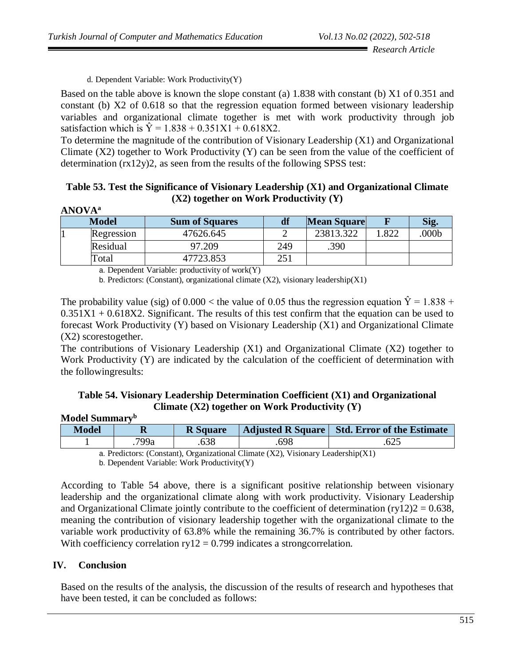d. Dependent Variable: Work Productivity(Y)

Based on the table above is known the slope constant (a) 1.838 with constant (b) X1 of 0.351 and constant (b) X2 of 0.618 so that the regression equation formed between visionary leadership variables and organizational climate together is met with work productivity through job satisfaction which is  $\hat{Y} = 1.838 + 0.351X1 + 0.618X2$ .

To determine the magnitude of the contribution of Visionary Leadership (X1) and Organizational Climate  $(X2)$  together to Work Productivity  $(Y)$  can be seen from the value of the coefficient of determination (rx12y)2, as seen from the results of the following SPSS test:

| Table 53. Test the Significance of Visionary Leadership (X1) and Organizational Climate |                                            |  |  |
|-----------------------------------------------------------------------------------------|--------------------------------------------|--|--|
|                                                                                         | $(X2)$ together on Work Productivity $(Y)$ |  |  |

| <b>ANOVA</b> <sup>a</sup> |              |                       |     |                    |      |       |  |  |
|---------------------------|--------------|-----------------------|-----|--------------------|------|-------|--|--|
|                           | <b>Model</b> | <b>Sum of Squares</b> |     | <b>Mean Square</b> |      | Sig.  |  |  |
|                           | Regression   | 47626.645             |     | 23813.322          | .822 | .000b |  |  |
|                           | Residual     | 97.209                | 249 | .390               |      |       |  |  |
|                           | Total        | 47723.853             | 251 |                    |      |       |  |  |

a. Dependent Variable: productivity of work $(Y)$ 

b. Predictors: (Constant), organizational climate  $(X2)$ , visionary leadership $(X1)$ 

The probability value (sig) of  $0.000 <$  the value of 0.05 thus the regression equation  $\hat{Y} = 1.838 +$  $0.351X1 + 0.618X2$ . Significant. The results of this test confirm that the equation can be used to forecast Work Productivity (Y) based on Visionary Leadership (X1) and Organizational Climate (X2) scorestogether.

The contributions of Visionary Leadership (X1) and Organizational Climate (X2) together to Work Productivity (Y) are indicated by the calculation of the coefficient of determination with the followingresults:

## **Table 54. Visionary Leadership Determination Coefficient (X1) and Organizational Climate (X2) together on Work Productivity (Y)**

## **Model Summary<sup>b</sup>**

| Model |      | <b>R</b> Square |      | Adjusted R Square   Std. Error of the Estimate |
|-------|------|-----------------|------|------------------------------------------------|
|       | 799a | 638             | .698 | .625                                           |

a. Predictors: (Constant), Organizational Climate (X2), Visionary Leadership(X1)

b. Dependent Variable: Work Productivity(Y)

According to Table 54 above, there is a significant positive relationship between visionary leadership and the organizational climate along with work productivity. Visionary Leadership and Organizational Climate jointly contribute to the coefficient of determination  $(ry12)2 = 0.638$ , meaning the contribution of visionary leadership together with the organizational climate to the variable work productivity of 63.8% while the remaining 36.7% is contributed by other factors. With coefficiency correlation  $ry12 = 0.799$  indicates a strongcorrelation.

## **IV. Conclusion**

Based on the results of the analysis, the discussion of the results of research and hypotheses that have been tested, it can be concluded as follows: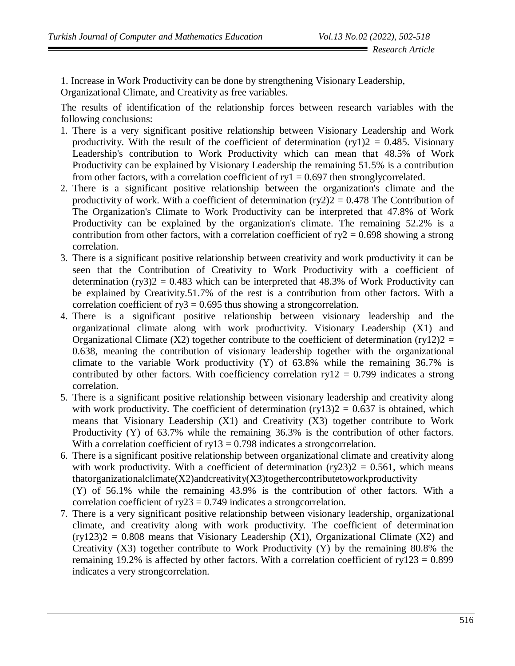1. Increase in Work Productivity can be done by strengthening Visionary Leadership, Organizational Climate, and Creativity as free variables.

The results of identification of the relationship forces between research variables with the following conclusions:

- 1. There is a very significant positive relationship between Visionary Leadership and Work productivity. With the result of the coefficient of determination  $(ry1)2 = 0.485$ . Visionary Leadership's contribution to Work Productivity which can mean that 48.5% of Work Productivity can be explained by Visionary Leadership the remaining 51.5% is a contribution from other factors, with a correlation coefficient of  $ry1 = 0.697$  then strongly correlated.
- 2. There is a significant positive relationship between the organization's climate and the productivity of work. With a coefficient of determination  $(ry2)2 = 0.478$  The Contribution of The Organization's Climate to Work Productivity can be interpreted that 47.8% of Work Productivity can be explained by the organization's climate. The remaining 52.2% is a contribution from other factors, with a correlation coefficient of  $ry2 = 0.698$  showing a strong correlation.
- 3. There is a significant positive relationship between creativity and work productivity it can be seen that the Contribution of Creativity to Work Productivity with a coefficient of determination  $(ry3)2 = 0.483$  which can be interpreted that 48.3% of Work Productivity can be explained by Creativity.51.7% of the rest is a contribution from other factors. With a correlation coefficient of  $ry3 = 0.695$  thus showing a strongcorrelation.
- 4. There is a significant positive relationship between visionary leadership and the organizational climate along with work productivity. Visionary Leadership (X1) and Organizational Climate (X2) together contribute to the coefficient of determination (ry12)2 = 0.638, meaning the contribution of visionary leadership together with the organizational climate to the variable Work productivity (Y) of 63.8% while the remaining 36.7% is contributed by other factors. With coefficiency correlation  $ry12 = 0.799$  indicates a strong correlation.
- 5. There is a significant positive relationship between visionary leadership and creativity along with work productivity. The coefficient of determination  $(ry13)2 = 0.637$  is obtained, which means that Visionary Leadership (X1) and Creativity (X3) together contribute to Work Productivity (Y) of 63.7% while the remaining 36.3% is the contribution of other factors. With a correlation coefficient of  $ry13 = 0.798$  indicates a strongcorrelation.
- 6. There is a significant positive relationship between organizational climate and creativity along with work productivity. With a coefficient of determination  $(ry23)2 = 0.561$ , which means  $that organizational climate(X2) and creativity(X3) together contribute to work productivity$ (Y) of 56.1% while the remaining 43.9% is the contribution of other factors. With a correlation coefficient of  $ry23 = 0.749$  indicates a strongcorrelation.
- 7. There is a very significant positive relationship between visionary leadership, organizational climate, and creativity along with work productivity. The coefficient of determination  $(ry123)2 = 0.808$  means that Visionary Leadership  $(X1)$ , Organizational Climate  $(X2)$  and Creativity (X3) together contribute to Work Productivity (Y) by the remaining  $80.8\%$  the remaining 19.2% is affected by other factors. With a correlation coefficient of  $ry123 = 0.899$ indicates a very strongcorrelation.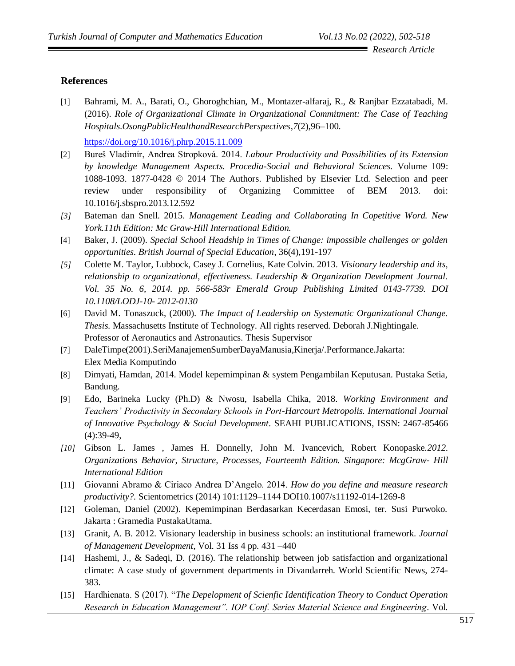## **References**

[1] Bahrami, M. A., Barati, O., Ghoroghchian, M., Montazer-alfaraj, R., & Ranjbar Ezzatabadi, M. (2016). *Role of Organizational Climate in Organizational Commitment: The Case of Teaching Hospitals*.*OsongPublicHealthandResearchPerspectives*,*7*(2),96–100.

<https://doi.org/10.1016/j.phrp.2015.11.009>

- [2] Bureš Vladimír, Andrea Stropková. 2014. *Labour Productivity and Possibilities of its Extension by knowledge Management Aspects. Procedia-Social and Behavioral Sciences.* Volume 109: 1088-1093. 1877-0428 © 2014 The Authors. Published by Elsevier Ltd. Selection and peer review under responsibility of Organizing Committee of BEM 2013. doi: 10.1016/j.sbspro.2013.12.592
- *[3]* Bateman dan Snell. 2015. *Management Leading and Collaborating In Copetitive Word. New York.11th Edition: Mc Graw-Hill International Edition.*
- [4] Baker, J. (2009). *Special School Headship in Times of Change: impossible challenges or golden opportunities. British Journal of Special Education*, 36(4),191-197
- *[5]* Colette M. Taylor, Lubbock, Casey J. Cornelius, Kate Colvin. 2013. *Visionary leadership and its, relationship to organizational, effectiveness. Leadership & Organization Development Journal. Vol. 35 No. 6, 2014. pp. 566-583r Emerald Group Publishing Limited 0143-7739. DOI 10.1108/LODJ-10- 2012-0130*
- [6] David M. Tonaszuck, (2000). *The Impact of Leadership on Systematic Organizational Change. Thesis.* Massachusetts Institute of Technology. All rights reserved. Deborah J.Nightingale. Professor of Aeronautics and Astronautics. Thesis Supervisor
- [7] DaleTimpe(2001).SeriManajemenSumberDayaManusia,Kinerja/.Performance.Jakarta: Elex Media Komputindo
- [8] Dimyati, Hamdan, 2014. Model kepemimpinan & system Pengambilan Keputusan. Pustaka Setia, Bandung.
- [9] Edo, Barineka Lucky (Ph.D) & Nwosu, Isabella Chika, 2018. *Working Environment and Teachers' Productivity in Secondary Schools in Port-Harcourt Metropolis. International Journal of Innovative Psychology & Social Development*. SEAHI PUBLICATIONS, ISSN: 2467-85466  $(4):39-49,$
- *[10]* Gibson L. James , James H. Donnelly, John M. Ivancevich, Robert Konopaske.*2012. Organizations Behavior, Structure, Processes, Fourteenth Edition. Singapore: McgGraw- Hill International Edition*
- [11] Giovanni Abramo & Ciriaco Andrea D'Angelo. 2014. *How do you define and measure research productivity?.* Scientometrics (2014) 101:1129–1144 DOI10.1007/s11192-014-1269-8
- [12] Goleman, Daniel (2002). Kepemimpinan Berdasarkan Kecerdasan Emosi, ter. Susi Purwoko. Jakarta : Gramedia PustakaUtama.
- [13] Granit, A. B. 2012. Visionary leadership in business schools: an institutional framework*. Journal of Management Development*, Vol. 31 Iss 4 pp. 431 –440
- [14] Hashemi, J., & Sadeqi, D. (2016). The relationship between job satisfaction and organizational climate: A case study of government departments in Divandarreh. World Scientific News, 274- 383.
- [15] Hardhienata. S (2017). "*The Depelopment of Scienfic Identification Theory to Conduct Operation Research in Education Management". IOP Conf. Series Material Science and Engineering*. Vol.